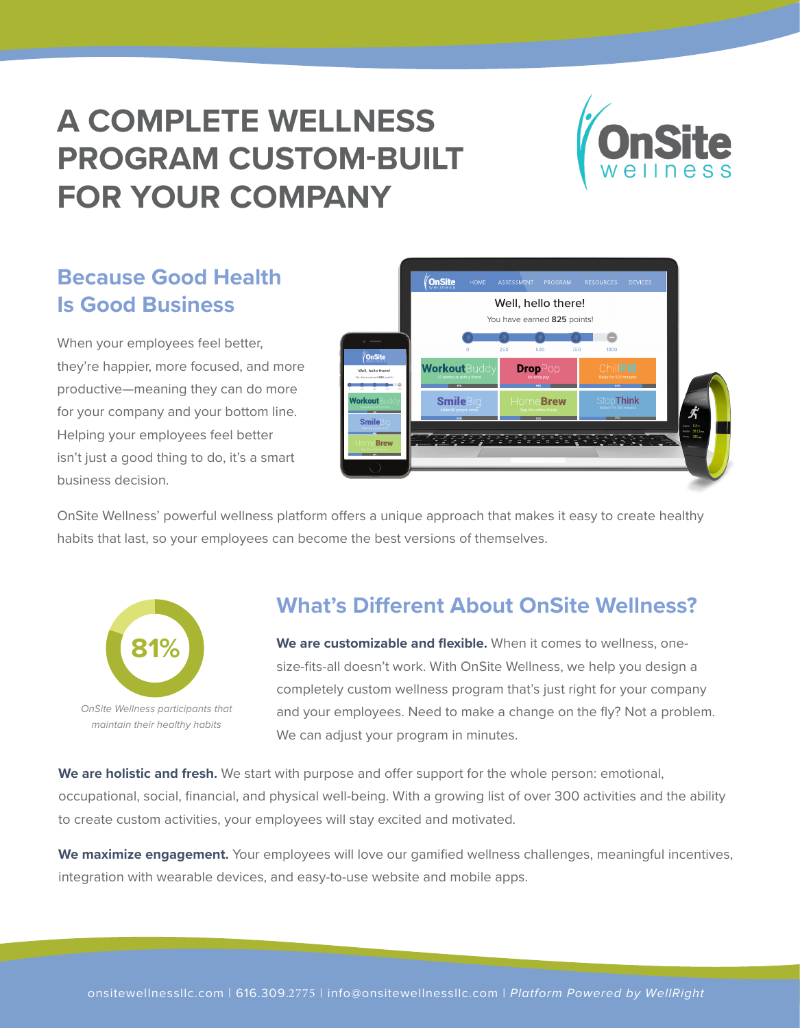# **A COMPLETE WELLNESS PROGRAM CUSTOM-BUILT FOR YOUR COMPANY**



## **Because Good Health Is Good Business**

When your employees feel better, they're happier, more focused, and more productive—meaning they can do more for your company and your bottom line. Helping your employees feel better isn't just a good thing to do, it's a smart business decision.



OnSite Wellness' powerful wellness platform offers a unique approach that makes it easy to create healthy habits that last, so your employees can become the best versions of themselves.



maintain their healthy habits

OnSite Wellness participants that

### **What's Different About OnSite Wellness?**

**We are customizable and flexible.** When it comes to wellness, onesize-fits-all doesn't work. With OnSite Wellness, we help you design a completely custom wellness program that's just right for your company and your employees. Need to make a change on the fly? Not a problem. We can adjust your program in minutes.

**We are holistic and fresh.** We start with purpose and offer support for the whole person: emotional, occupational, social, financial, and physical well-being. With a growing list of over 300 activities and the ability to create custom activities, your employees will stay excited and motivated.

We maximize engagement. Your employees will love our gamified wellness challenges, meaningful incentives, integration with wearable devices, and easy-to-use website and mobile apps.